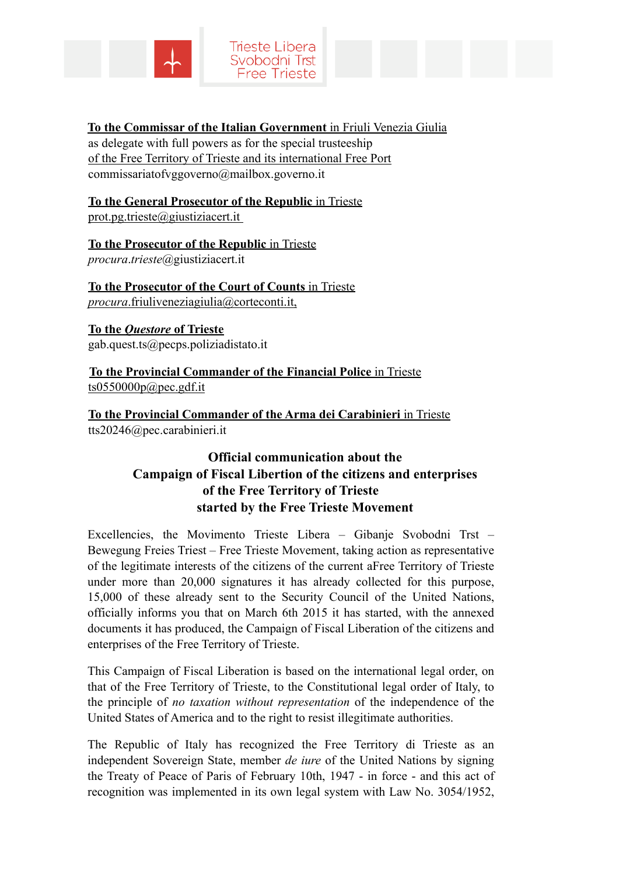



## **To the Commissar of the Italian Government** in Friuli Venezia Giulia

as delegate with full powers as for the special trusteeship of the Free Territory of Trieste and its international Free Port commissariatofvggoverno@mailbox.governo.it

## **To the General Prosecutor of the Republic** in Trieste prot.pg.trieste@giustiziacert.it

**To the Prosecutor of the Republic** in Trieste *procura*.*trieste*@giustiziacert.it

**To the Prosecutor of the Court of Counts** in Trieste *procura*.friuliveneziagiulia@corteconti.it,

**To the** *Questore* **of Trieste** gab.quest.ts@pecps.poliziadistato.it

**To the Provincial Commander of the Financial Police** in Trieste  $ts0550000p@pec.get.$ it

**To the Provincial Commander of the Arma dei Carabinieri** in Trieste tts20246@pec.carabinieri.it

## **Official communication about the Campaign of Fiscal Libertion of the citizens and enterprises of the Free Territory of Trieste started by the Free Trieste Movement**

Excellencies, the Movimento Trieste Libera – Gibanje Svobodni Trst – Bewegung Freies Triest – Free Trieste Movement, taking action as representative of the legitimate interests of the citizens of the current aFree Territory of Trieste under more than 20,000 signatures it has already collected for this purpose, 15,000 of these already sent to the Security Council of the United Nations, officially informs you that on March 6th 2015 it has started, with the annexed documents it has produced, the Campaign of Fiscal Liberation of the citizens and enterprises of the Free Territory of Trieste.

This Campaign of Fiscal Liberation is based on the international legal order, on that of the Free Territory of Trieste, to the Constitutional legal order of Italy, to the principle of *no taxation without representation* of the independence of the United States of America and to the right to resist illegitimate authorities.

The Republic of Italy has recognized the Free Territory di Trieste as an independent Sovereign State, member *de iure* of the United Nations by signing the Treaty of Peace of Paris of February 10th, 1947 - in force - and this act of recognition was implemented in its own legal system with Law No. 3054/1952,